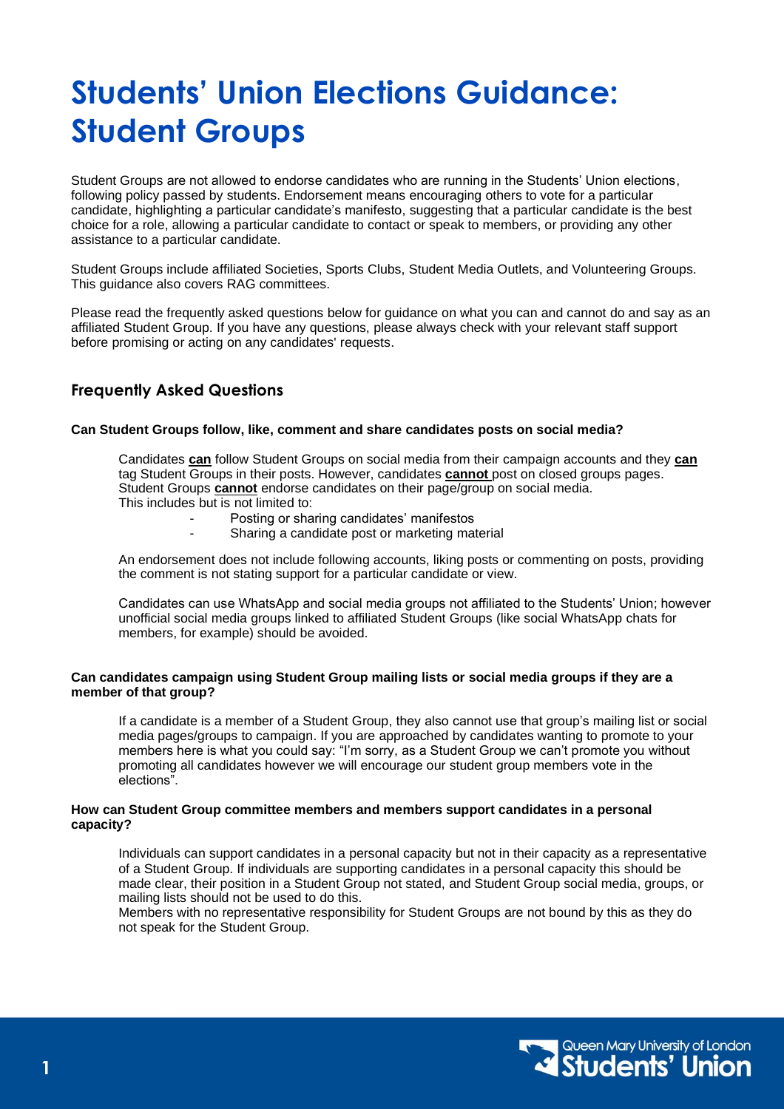# **Students' Union Elections Guidance: Student Groups**

Student Groups are not allowed to endorse candidates who are running in the Students' Union elections, following policy passed by students. Endorsement means encouraging others to vote for a particular candidate, highlighting a particular candidate's manifesto, suggesting that a particular candidate is the best choice for a role, allowing a particular candidate to contact or speak to members, or providing any other assistance to a particular candidate.

Student Groups include affiliated Societies, Sports Clubs, Student Media Outlets, and Volunteering Groups. This guidance also covers RAG committees.

Please read the frequently asked questions below for guidance on what you can and cannot do and say as an affiliated Student Group. If you have any questions, please always check with your relevant staff support before promising or acting on any candidates' requests.

## **Frequently Asked Questions**

#### **Can Student Groups follow, like, comment and share candidates posts on social media?**

Candidates **can** follow Student Groups on social media from their campaign accounts and they **can** tag Student Groups in their posts. However, candidates **cannot** post on closed groups pages. Student Groups **cannot** endorse candidates on their page/group on social media. This includes but is not limited to:

- Posting or sharing candidates' manifestos
- Sharing a candidate post or marketing material

An endorsement does not include following accounts, liking posts or commenting on posts, providing the comment is not stating support for a particular candidate or view.

Candidates can use WhatsApp and social media groups not affiliated to the Students' Union; however unofficial social media groups linked to affiliated Student Groups (like social WhatsApp chats for members, for example) should be avoided.

#### **Can candidates campaign using Student Group mailing lists or social media groups if they are a member of that group?**

If a candidate is a member of a Student Group, they also cannot use that group's mailing list or social media pages/groups to campaign. If you are approached by candidates wanting to promote to your members here is what you could say: "I'm sorry, as a Student Group we can't promote you without promoting all candidates however we will encourage our student group members vote in the elections".

#### **How can Student Group committee members and members support candidates in a personal capacity?**

Individuals can support candidates in a personal capacity but not in their capacity as a representative of a Student Group. If individuals are supporting candidates in a personal capacity this should be made clear, their position in a Student Group not stated, and Student Group social media, groups, or mailing lists should not be used to do this.

Members with no representative responsibility for Student Groups are not bound by this as they do not speak for the Student Group.